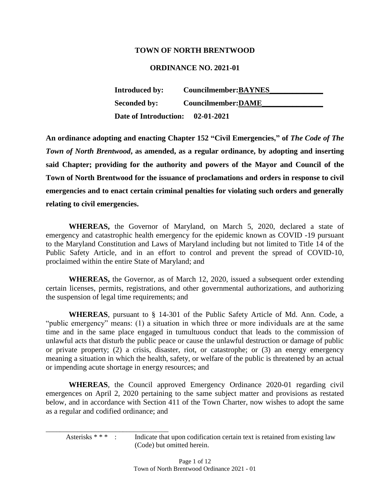#### **TOWN OF NORTH BRENTWOOD**

#### **ORDINANCE NO. 2021-01**

| Introduced by:               | Councilmember: BAYNES |
|------------------------------|-----------------------|
| <b>Seconded by:</b>          | Councilmember: DAME   |
| <b>Date of Introduction:</b> | $02 - 01 - 2021$      |

**An ordinance adopting and enacting Chapter 152 "Civil Emergencies," of** *The Code of The Town of North Brentwood***, as amended, as a regular ordinance, by adopting and inserting said Chapter; providing for the authority and powers of the Mayor and Council of the Town of North Brentwood for the issuance of proclamations and orders in response to civil emergencies and to enact certain criminal penalties for violating such orders and generally relating to civil emergencies.** 

**WHEREAS,** the Governor of Maryland, on March 5, 2020, declared a state of emergency and catastrophic health emergency for the epidemic known as COVID -19 pursuant to the Maryland Constitution and Laws of Maryland including but not limited to Title 14 of the Public Safety Article, and in an effort to control and prevent the spread of COVID-10, proclaimed within the entire State of Maryland; and

**WHEREAS,** the Governor, as of March 12, 2020, issued a subsequent order extending certain licenses, permits, registrations, and other governmental authorizations, and authorizing the suspension of legal time requirements; and

**WHEREAS**, pursuant to § 14-301 of the Public Safety Article of Md. Ann. Code, a "public emergency" means: (1) a situation in which three or more individuals are at the same time and in the same place engaged in tumultuous conduct that leads to the commission of unlawful acts that disturb the public peace or cause the unlawful destruction or damage of public or private property; (2) a crisis, disaster, riot, or catastrophe; or (3) an energy emergency meaning a situation in which the health, safety, or welfare of the public is threatened by an actual or impending acute shortage in energy resources; and

**WHEREAS**, the Council approved Emergency Ordinance 2020-01 regarding civil emergences on April 2, 2020 pertaining to the same subject matter and provisions as restated below, and in accordance with Section 411 of the Town Charter, now wishes to adopt the same as a regular and codified ordinance; and

Asterisks \* \* \* : Indicate that upon codification certain text is retained from existing law (Code) but omitted herein.

\_\_\_\_\_\_\_\_\_\_\_\_\_\_\_\_\_\_\_\_\_\_\_\_\_\_\_\_\_\_\_\_\_\_\_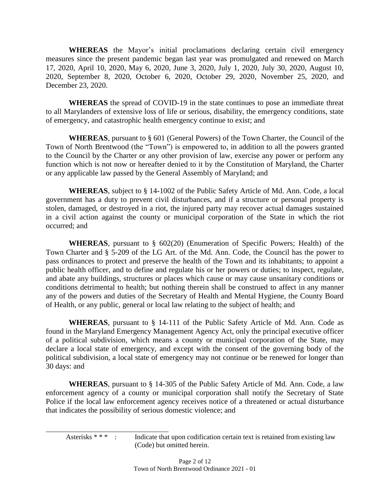**WHEREAS** the Mayor's initial proclamations declaring certain civil emergency measures since the present pandemic began last year was promulgated and renewed on March 17, 2020, April 10, 2020, May 6, 2020, June 3, 2020, July 1, 2020, July 30, 2020, August 10, 2020, September 8, 2020, October 6, 2020, October 29, 2020, November 25, 2020, and December 23, 2020.

**WHEREAS** the spread of COVID-19 in the state continues to pose an immediate threat to all Marylanders of extensive loss of life or serious, disability, the emergency conditions, state of emergency, and catastrophic health emergency continue to exist; and

**WHEREAS**, pursuant to § 601 (General Powers) of the Town Charter, the Council of the Town of North Brentwood (the "Town") is empowered to, in addition to all the powers granted to the Council by the Charter or any other provision of law, exercise any power or perform any function which is not now or hereafter denied to it by the Constitution of Maryland, the Charter or any applicable law passed by the General Assembly of Maryland; and

**WHEREAS**, subject to § 14-1002 of the Public Safety Article of Md. Ann. Code, a local government has a duty to prevent civil disturbances, and if a structure or personal property is stolen, damaged, or destroyed in a riot, the injured party may recover actual damages sustained in a civil action against the county or municipal corporation of the State in which the riot occurred; and

**WHEREAS**, pursuant to § 602(20) (Enumeration of Specific Powers; Health) of the Town Charter and § 5-209 of the LG Art. of the Md. Ann. Code, the Council has the power to pass ordinances to protect and preserve the health of the Town and its inhabitants; to appoint a public health officer, and to define and regulate his or her powers or duties; to inspect, regulate, and abate any buildings, structures or places which cause or may cause unsanitary conditions or conditions detrimental to health; but nothing therein shall be construed to affect in any manner any of the powers and duties of the Secretary of Health and Mental Hygiene, the County Board of Health, or any public, general or local law relating to the subject of health; and

**WHEREAS**, pursuant to § 14-111 of the Public Safety Article of Md. Ann. Code as found in the Maryland Emergency Management Agency Act, only the principal executive officer of a political subdivision, which means a county or municipal corporation of the State, may declare a local state of emergency, and except with the consent of the governing body of the political subdivision, a local state of emergency may not continue or be renewed for longer than 30 days: and

**WHEREAS**, pursuant to § 14-305 of the Public Safety Article of Md. Ann. Code, a law enforcement agency of a county or municipal corporation shall notify the Secretary of State Police if the local law enforcement agency receives notice of a threatened or actual disturbance that indicates the possibility of serious domestic violence; and

Asterisks \* \* \* : Indicate that upon codification certain text is retained from existing law (Code) but omitted herein.

\_\_\_\_\_\_\_\_\_\_\_\_\_\_\_\_\_\_\_\_\_\_\_\_\_\_\_\_\_\_\_\_\_\_\_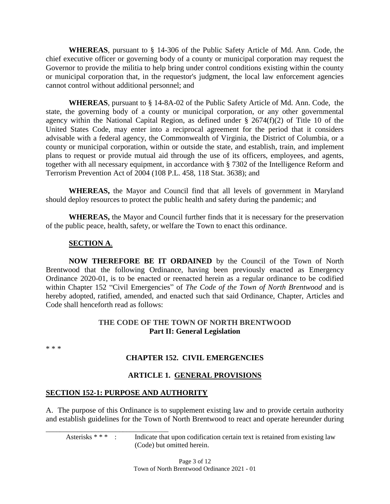**WHEREAS**, pursuant to § 14-306 of the Public Safety Article of Md. Ann. Code, the chief executive officer or governing body of a county or municipal corporation may request the Governor to provide the militia to help bring under control conditions existing within the county or municipal corporation that, in the requestor's judgment, the local law enforcement agencies cannot control without additional personnel; and

**WHEREAS**, pursuant to § 14-8A-02 of the Public Safety Article of Md. Ann. Code, the state, the governing body of a county or municipal corporation, or any other governmental agency within the National Capital Region, as defined under § 2674(f)(2) of Title 10 of the United States Code, may enter into a reciprocal agreement for the period that it considers advisable with a federal agency, the Commonwealth of Virginia, the District of Columbia, or a county or municipal corporation, within or outside the state, and establish, train, and implement plans to request or provide mutual aid through the use of its officers, employees, and agents, together with all necessary equipment, in accordance with § 7302 of the Intelligence Reform and Terrorism Prevention Act of 2004 (108 P.L. 458, 118 Stat. 3638); and

**WHEREAS,** the Mayor and Council find that all levels of government in Maryland should deploy resources to protect the public health and safety during the pandemic; and

**WHEREAS,** the Mayor and Council further finds that it is necessary for the preservation of the public peace, health, safety, or welfare the Town to enact this ordinance.

#### **SECTION A**.

**NOW THEREFORE BE IT ORDAINED** by the Council of the Town of North Brentwood that the following Ordinance, having been previously enacted as Emergency Ordinance 2020-01, is to be enacted or reenacted herein as a regular ordinance to be codified within Chapter 152 "Civil Emergencies" of *The Code of the Town of North Brentwood* and is hereby adopted, ratified, amended, and enacted such that said Ordinance, Chapter, Articles and Code shall henceforth read as follows:

#### **THE CODE OF THE TOWN OF NORTH BRENTWOOD Part II: General Legislation**

\* \* \*

#### **CHAPTER 152. CIVIL EMERGENCIES**

#### **ARTICLE 1. GENERAL PROVISIONS**

#### **SECTION 152-1: PURPOSE AND AUTHORITY**

\_\_\_\_\_\_\_\_\_\_\_\_\_\_\_\_\_\_\_\_\_\_\_\_\_\_\_\_\_\_\_\_\_\_\_

A. The purpose of this Ordinance is to supplement existing law and to provide certain authority and establish guidelines for the Town of North Brentwood to react and operate hereunder during

Asterisks \* \* \* : Indicate that upon codification certain text is retained from existing law (Code) but omitted herein.

> Page 3 of 12 Town of North Brentwood Ordinance 2021 - 01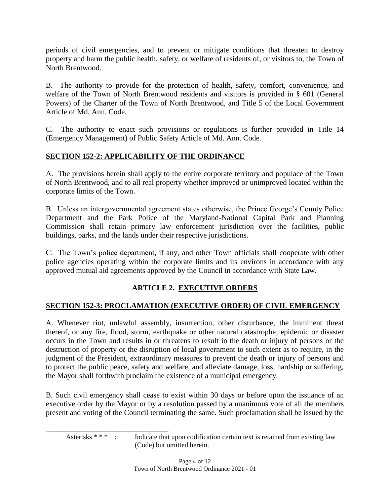periods of civil emergencies, and to prevent or mitigate conditions that threaten to destroy property and harm the public health, safety, or welfare of residents of, or visitors to, the Town of North Brentwood.

B. The authority to provide for the protection of health, safety, comfort, convenience, and welfare of the Town of North Brentwood residents and visitors is provided in § 601 (General Powers) of the Charter of the Town of North Brentwood, and Title 5 of the Local Government Article of Md. Ann. Code.

C. The authority to enact such provisions or regulations is further provided in Title 14 (Emergency Management) of Public Safety Article of Md. Ann. Code.

## **SECTION 152-2: APPLICABILITY OF THE ORDINANCE**

A. The provisions herein shall apply to the entire corporate territory and populace of the Town of North Brentwood, and to all real property whether improved or unimproved located within the corporate limits of the Town.

B. Unless an intergovernmental agreement states otherwise, the Prince George's County Police Department and the Park Police of the Maryland-National Capital Park and Planning Commission shall retain primary law enforcement jurisdiction over the facilities, public buildings, parks, and the lands under their respective jurisdictions.

C. The Town's police department, if any, and other Town officials shall cooperate with other police agencies operating within the corporate limits and its environs in accordance with any approved mutual aid agreements approved by the Council in accordance with State Law.

## **ARTICLE 2. EXECUTIVE ORDERS**

## **SECTION 152-3: PROCLAMATION (EXECUTIVE ORDER) OF CIVIL EMERGENCY**

A. Whenever riot, unlawful assembly, insurrection, other disturbance, the imminent threat thereof, or any fire, flood, storm, earthquake or other natural catastrophe, epidemic or disaster occurs in the Town and results in or threatens to result in the death or injury of persons or the destruction of property or the disruption of local government to such extent as to require, in the judgment of the President, extraordinary measures to prevent the death or injury of persons and to protect the public peace, safety and welfare, and alleviate damage, loss, hardship or suffering, the Mayor shall forthwith proclaim the existence of a municipal emergency.

B. Such civil emergency shall cease to exist within 30 days or before upon the issuance of an executive order by the Mayor or by a resolution passed by a unanimous vote of all the members present and voting of the Council terminating the same. Such proclamation shall be issued by the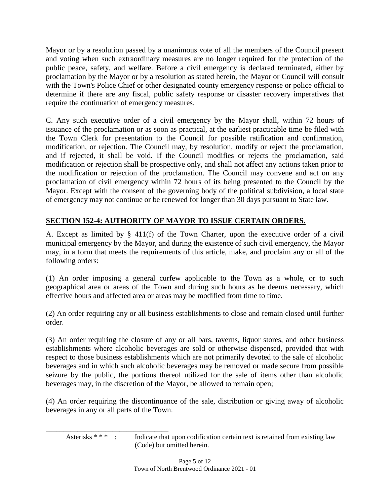Mayor or by a resolution passed by a unanimous vote of all the members of the Council present and voting when such extraordinary measures are no longer required for the protection of the public peace, safety, and welfare. Before a civil emergency is declared terminated, either by proclamation by the Mayor or by a resolution as stated herein, the Mayor or Council will consult with the Town's Police Chief or other designated county emergency response or police official to determine if there are any fiscal, public safety response or disaster recovery imperatives that require the continuation of emergency measures.

C. Any such executive order of a civil emergency by the Mayor shall, within 72 hours of issuance of the proclamation or as soon as practical, at the earliest practicable time be filed with the Town Clerk for presentation to the Council for possible ratification and confirmation, modification, or rejection. The Council may, by resolution, modify or reject the proclamation, and if rejected, it shall be void. If the Council modifies or rejects the proclamation, said modification or rejection shall be prospective only, and shall not affect any actions taken prior to the modification or rejection of the proclamation. The Council may convene and act on any proclamation of civil emergency within 72 hours of its being presented to the Council by the Mayor. Except with the consent of the governing body of the political subdivision, a local state of emergency may not continue or be renewed for longer than 30 days pursuant to State law.

## **SECTION 152-4: AUTHORITY OF MAYOR TO ISSUE CERTAIN ORDERS.**

A. Except as limited by § 411(f) of the Town Charter, upon the executive order of a civil municipal emergency by the Mayor, and during the existence of such civil emergency, the Mayor may, in a form that meets the requirements of this article, make, and proclaim any or all of the following orders:

(1) An order imposing a general curfew applicable to the Town as a whole, or to such geographical area or areas of the Town and during such hours as he deems necessary, which effective hours and affected area or areas may be modified from time to time.

(2) An order requiring any or all business establishments to close and remain closed until further order.

(3) An order requiring the closure of any or all bars, taverns, liquor stores, and other business establishments where alcoholic beverages are sold or otherwise dispensed, provided that with respect to those business establishments which are not primarily devoted to the sale of alcoholic beverages and in which such alcoholic beverages may be removed or made secure from possible seizure by the public, the portions thereof utilized for the sale of items other than alcoholic beverages may, in the discretion of the Mayor, be allowed to remain open;

(4) An order requiring the discontinuance of the sale, distribution or giving away of alcoholic beverages in any or all parts of the Town.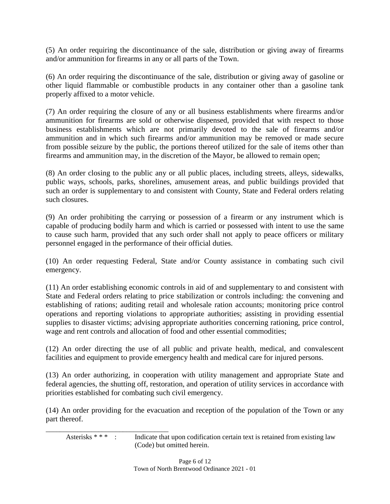(5) An order requiring the discontinuance of the sale, distribution or giving away of firearms and/or ammunition for firearms in any or all parts of the Town.

(6) An order requiring the discontinuance of the sale, distribution or giving away of gasoline or other liquid flammable or combustible products in any container other than a gasoline tank properly affixed to a motor vehicle.

(7) An order requiring the closure of any or all business establishments where firearms and/or ammunition for firearms are sold or otherwise dispensed, provided that with respect to those business establishments which are not primarily devoted to the sale of firearms and/or ammunition and in which such firearms and/or ammunition may be removed or made secure from possible seizure by the public, the portions thereof utilized for the sale of items other than firearms and ammunition may, in the discretion of the Mayor, be allowed to remain open;

(8) An order closing to the public any or all public places, including streets, alleys, sidewalks, public ways, schools, parks, shorelines, amusement areas, and public buildings provided that such an order is supplementary to and consistent with County, State and Federal orders relating such closures.

(9) An order prohibiting the carrying or possession of a firearm or any instrument which is capable of producing bodily harm and which is carried or possessed with intent to use the same to cause such harm, provided that any such order shall not apply to peace officers or military personnel engaged in the performance of their official duties.

(10) An order requesting Federal, State and/or County assistance in combating such civil emergency.

(11) An order establishing economic controls in aid of and supplementary to and consistent with State and Federal orders relating to price stabilization or controls including: the convening and establishing of rations; auditing retail and wholesale ration accounts; monitoring price control operations and reporting violations to appropriate authorities; assisting in providing essential supplies to disaster victims; advising appropriate authorities concerning rationing, price control, wage and rent controls and allocation of food and other essential commodities;

(12) An order directing the use of all public and private health, medical, and convalescent facilities and equipment to provide emergency health and medical care for injured persons.

(13) An order authorizing, in cooperation with utility management and appropriate State and federal agencies, the shutting off, restoration, and operation of utility services in accordance with priorities established for combating such civil emergency.

(14) An order providing for the evacuation and reception of the population of the Town or any part thereof.

\_\_\_\_\_\_\_\_\_\_\_\_\_\_\_\_\_\_\_\_\_\_\_\_\_\_\_\_\_\_\_\_\_\_\_

Asterisks \* \* \* : Indicate that upon codification certain text is retained from existing law (Code) but omitted herein.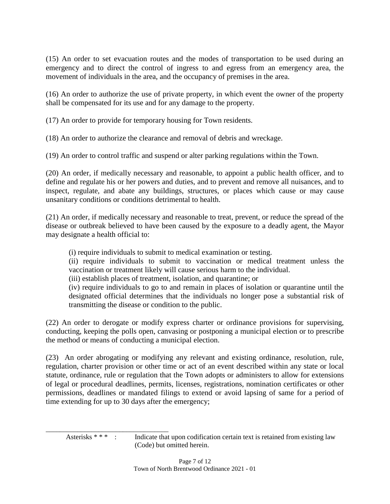(15) An order to set evacuation routes and the modes of transportation to be used during an emergency and to direct the control of ingress to and egress from an emergency area, the movement of individuals in the area, and the occupancy of premises in the area.

(16) An order to authorize the use of private property, in which event the owner of the property shall be compensated for its use and for any damage to the property.

(17) An order to provide for temporary housing for Town residents.

(18) An order to authorize the clearance and removal of debris and wreckage.

(19) An order to control traffic and suspend or alter parking regulations within the Town.

(20) An order, if medically necessary and reasonable, to appoint a public health officer, and to define and regulate his or her powers and duties, and to prevent and remove all nuisances, and to inspect, regulate, and abate any buildings, structures, or places which cause or may cause unsanitary conditions or conditions detrimental to health.

(21) An order, if medically necessary and reasonable to treat, prevent, or reduce the spread of the disease or outbreak believed to have been caused by the exposure to a deadly agent, the Mayor may designate a health official to:

(i) require individuals to submit to medical examination or testing.

(ii) require individuals to submit to vaccination or medical treatment unless the vaccination or treatment likely will cause serious harm to the individual.

(iii) establish places of treatment, isolation, and quarantine; or

\_\_\_\_\_\_\_\_\_\_\_\_\_\_\_\_\_\_\_\_\_\_\_\_\_\_\_\_\_\_\_\_\_\_\_

(iv) require individuals to go to and remain in places of isolation or quarantine until the designated official determines that the individuals no longer pose a substantial risk of transmitting the disease or condition to the public.

(22) An order to derogate or modify express charter or ordinance provisions for supervising, conducting, keeping the polls open, canvasing or postponing a municipal election or to prescribe the method or means of conducting a municipal election.

(23) An order abrogating or modifying any relevant and existing ordinance, resolution, rule, regulation, charter provision or other time or act of an event described within any state or local statute, ordinance, rule or regulation that the Town adopts or administers to allow for extensions of legal or procedural deadlines, permits, licenses, registrations, nomination certificates or other permissions, deadlines or mandated filings to extend or avoid lapsing of same for a period of time extending for up to 30 days after the emergency;

Asterisks \* \* \* : Indicate that upon codification certain text is retained from existing law (Code) but omitted herein.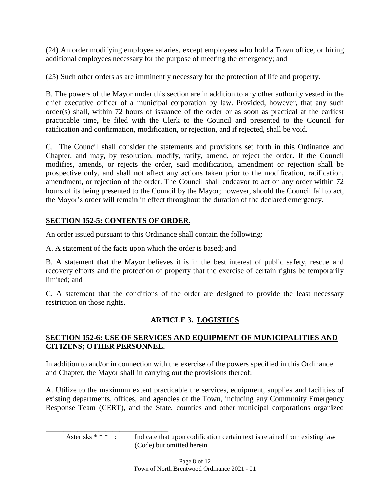(24) An order modifying employee salaries, except employees who hold a Town office, or hiring additional employees necessary for the purpose of meeting the emergency; and

(25) Such other orders as are imminently necessary for the protection of life and property.

B. The powers of the Mayor under this section are in addition to any other authority vested in the chief executive officer of a municipal corporation by law. Provided, however, that any such order(s) shall, within 72 hours of issuance of the order or as soon as practical at the earliest practicable time, be filed with the Clerk to the Council and presented to the Council for ratification and confirmation, modification, or rejection, and if rejected, shall be void.

C. The Council shall consider the statements and provisions set forth in this Ordinance and Chapter, and may, by resolution, modify, ratify, amend, or reject the order. If the Council modifies, amends, or rejects the order, said modification, amendment or rejection shall be prospective only, and shall not affect any actions taken prior to the modification, ratification, amendment, or rejection of the order. The Council shall endeavor to act on any order within 72 hours of its being presented to the Council by the Mayor; however, should the Council fail to act, the Mayor's order will remain in effect throughout the duration of the declared emergency.

# **SECTION 152-5: CONTENTS OF ORDER.**

An order issued pursuant to this Ordinance shall contain the following:

A. A statement of the facts upon which the order is based; and

B. A statement that the Mayor believes it is in the best interest of public safety, rescue and recovery efforts and the protection of property that the exercise of certain rights be temporarily limited; and

C. A statement that the conditions of the order are designed to provide the least necessary restriction on those rights.

# **ARTICLE 3. LOGISTICS**

## **SECTION 152-6: USE OF SERVICES AND EQUIPMENT OF MUNICIPALITIES AND CITIZENS; OTHER PERSONNEL.**

In addition to and/or in connection with the exercise of the powers specified in this Ordinance and Chapter, the Mayor shall in carrying out the provisions thereof:

A. Utilize to the maximum extent practicable the services, equipment, supplies and facilities of existing departments, offices, and agencies of the Town, including any Community Emergency Response Team (CERT), and the State, counties and other municipal corporations organized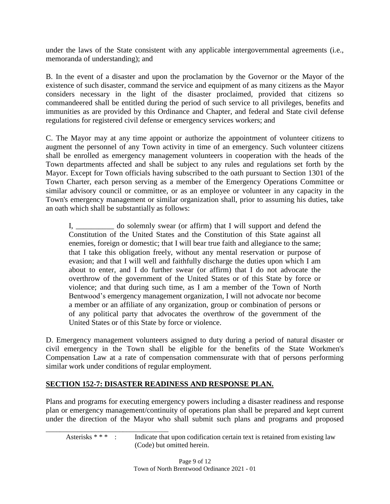under the laws of the State consistent with any applicable intergovernmental agreements (i.e., memoranda of understanding); and

B. In the event of a disaster and upon the proclamation by the Governor or the Mayor of the existence of such disaster, command the service and equipment of as many citizens as the Mayor considers necessary in the light of the disaster proclaimed, provided that citizens so commandeered shall be entitled during the period of such service to all privileges, benefits and immunities as are provided by this Ordinance and Chapter, and federal and State civil defense regulations for registered civil defense or emergency services workers; and

C. The Mayor may at any time appoint or authorize the appointment of volunteer citizens to augment the personnel of any Town activity in time of an emergency. Such volunteer citizens shall be enrolled as emergency management volunteers in cooperation with the heads of the Town departments affected and shall be subject to any rules and regulations set forth by the Mayor. Except for Town officials having subscribed to the oath pursuant to Section 1301 of the Town Charter, each person serving as a member of the Emergency Operations Committee or similar advisory council or committee, or as an employee or volunteer in any capacity in the Town's emergency management or similar organization shall, prior to assuming his duties, take an oath which shall be substantially as follows:

I, \_\_\_\_\_\_\_\_\_\_ do solemnly swear (or affirm) that I will support and defend the Constitution of the United States and the Constitution of this State against all enemies, foreign or domestic; that I will bear true faith and allegiance to the same; that I take this obligation freely, without any mental reservation or purpose of evasion; and that I will well and faithfully discharge the duties upon which I am about to enter, and I do further swear (or affirm) that I do not advocate the overthrow of the government of the United States or of this State by force or violence; and that during such time, as I am a member of the Town of North Bentwood's emergency management organization, I will not advocate nor become a member or an affiliate of any organization, group or combination of persons or of any political party that advocates the overthrow of the government of the United States or of this State by force or violence.

D. Emergency management volunteers assigned to duty during a period of natural disaster or civil emergency in the Town shall be eligible for the benefits of the State Workmen's Compensation Law at a rate of compensation commensurate with that of persons performing similar work under conditions of regular employment.

## **SECTION 152-7: DISASTER READINESS AND RESPONSE PLAN.**

Plans and programs for executing emergency powers including a disaster readiness and response plan or emergency management/continuity of operations plan shall be prepared and kept current under the direction of the Mayor who shall submit such plans and programs and proposed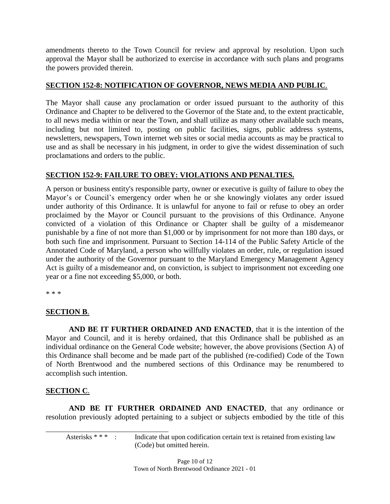amendments thereto to the Town Council for review and approval by resolution. Upon such approval the Mayor shall be authorized to exercise in accordance with such plans and programs the powers provided therein.

### **SECTION 152-8: NOTIFICATION OF GOVERNOR, NEWS MEDIA AND PUBLIC**.

The Mayor shall cause any proclamation or order issued pursuant to the authority of this Ordinance and Chapter to be delivered to the Governor of the State and, to the extent practicable, to all news media within or near the Town, and shall utilize as many other available such means, including but not limited to, posting on public facilities, signs, public address systems, newsletters, newspapers, Town internet web sites or social media accounts as may be practical to use and as shall be necessary in his judgment, in order to give the widest dissemination of such proclamations and orders to the public.

## **SECTION 152-9: FAILURE TO OBEY: VIOLATIONS AND PENALTIES.**

A person or business entity's responsible party, owner or executive is guilty of failure to obey the Mayor's or Council's emergency order when he or she knowingly violates any order issued under authority of this Ordinance. It is unlawful for anyone to fail or refuse to obey an order proclaimed by the Mayor or Council pursuant to the provisions of this Ordinance. Anyone convicted of a violation of this Ordinance or Chapter shall be guilty of a misdemeanor punishable by a fine of not more than \$1,000 or by imprisonment for not more than 180 days, or both such fine and imprisonment. Pursuant to Section 14-114 of the Public Safety Article of the Annotated Code of Maryland, a person who willfully violates an order, rule, or regulation issued under the authority of the Governor pursuant to the Maryland Emergency Management Agency Act is guilty of a misdemeanor and, on conviction, is subject to imprisonment not exceeding one year or a fine not exceeding \$5,000, or both.

\* \* \*

### **SECTION B**.

**AND BE IT FURTHER ORDAINED AND ENACTED**, that it is the intention of the Mayor and Council, and it is hereby ordained, that this Ordinance shall be published as an individual ordinance on the General Code website; however, the above provisions (Section A) of this Ordinance shall become and be made part of the published (re-codified) Code of the Town of North Brentwood and the numbered sections of this Ordinance may be renumbered to accomplish such intention.

### **SECTION C**.

**AND BE IT FURTHER ORDAINED AND ENACTED**, that any ordinance or resolution previously adopted pertaining to a subject or subjects embodied by the title of this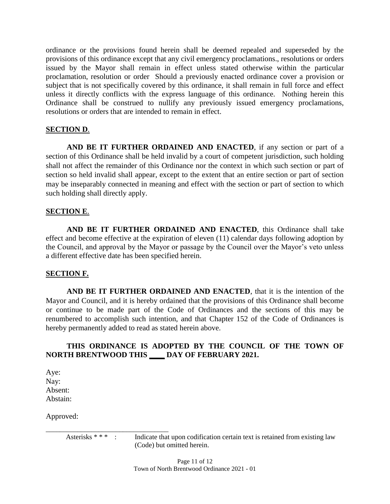ordinance or the provisions found herein shall be deemed repealed and superseded by the provisions of this ordinance except that any civil emergency proclamations., resolutions or orders issued by the Mayor shall remain in effect unless stated otherwise within the particular proclamation, resolution or order Should a previously enacted ordinance cover a provision or subject that is not specifically covered by this ordinance, it shall remain in full force and effect unless it directly conflicts with the express language of this ordinance. Nothing herein this Ordinance shall be construed to nullify any previously issued emergency proclamations, resolutions or orders that are intended to remain in effect.

### **SECTION D**.

**AND BE IT FURTHER ORDAINED AND ENACTED**, if any section or part of a section of this Ordinance shall be held invalid by a court of competent jurisdiction, such holding shall not affect the remainder of this Ordinance nor the context in which such section or part of section so held invalid shall appear, except to the extent that an entire section or part of section may be inseparably connected in meaning and effect with the section or part of section to which such holding shall directly apply.

#### **SECTION E**.

**AND BE IT FURTHER ORDAINED AND ENACTED**, this Ordinance shall take effect and become effective at the expiration of eleven (11) calendar days following adoption by the Council, and approval by the Mayor or passage by the Council over the Mayor's veto unless a different effective date has been specified herein.

### **SECTION F.**

**AND BE IT FURTHER ORDAINED AND ENACTED**, that it is the intention of the Mayor and Council, and it is hereby ordained that the provisions of this Ordinance shall become or continue to be made part of the Code of Ordinances and the sections of this may be renumbered to accomplish such intention, and that Chapter 152 of the Code of Ordinances is hereby permanently added to read as stated herein above.

### **THIS ORDINANCE IS ADOPTED BY THE COUNCIL OF THE TOWN OF NORTH BRENTWOOD THIS \_\_\_\_ DAY OF FEBRUARY 2021.**

Aye: Nay: Absent: Abstain:

Approved:

\_\_\_\_\_\_\_\_\_\_\_\_\_\_\_\_\_\_\_\_\_\_\_\_\_\_\_\_\_\_\_\_\_\_\_ Asterisks \* \* \* : Indicate that upon codification certain text is retained from existing law (Code) but omitted herein.

> Page 11 of 12 Town of North Brentwood Ordinance 2021 - 01